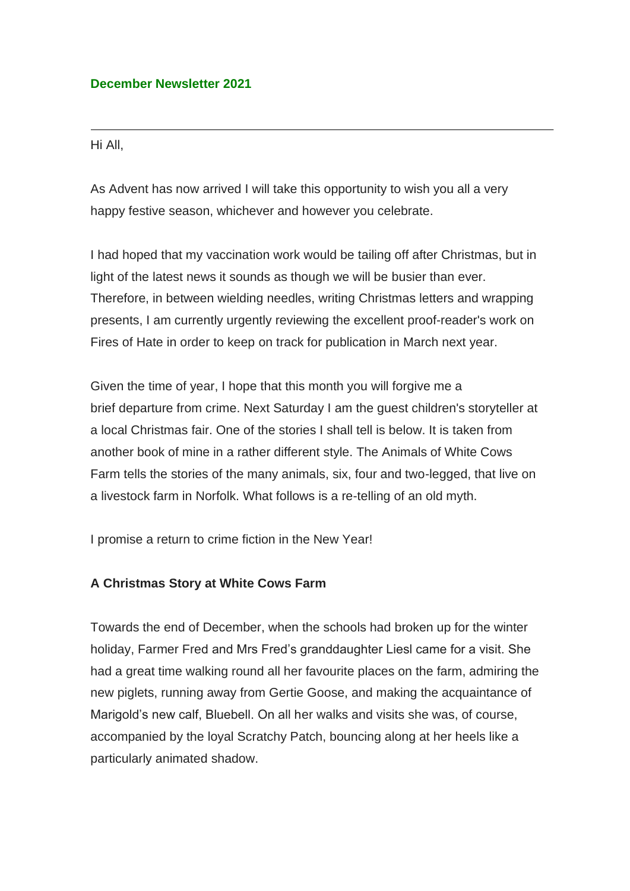## **December Newsletter 2021**

## Hi All,

As Advent has now arrived I will take this opportunity to wish you all a very happy festive season, whichever and however you celebrate.

I had hoped that my vaccination work would be tailing off after Christmas, but in light of the latest news it sounds as though we will be busier than ever. Therefore, in between wielding needles, writing Christmas letters and wrapping presents, I am currently urgently reviewing the excellent proof-reader's work on Fires of Hate in order to keep on track for publication in March next year.

Given the time of year, I hope that this month you will forgive me a brief departure from crime. Next Saturday I am the guest children's storyteller at a local Christmas fair. One of the stories I shall tell is below. It is taken from another book of mine in a rather different style. The Animals of White Cows Farm tells the stories of the many animals, six, four and two-legged, that live on a livestock farm in Norfolk. What follows is a re-telling of an old myth.

I promise a return to crime fiction in the New Year!

## **A Christmas Story at White Cows Farm**

Towards the end of December, when the schools had broken up for the winter holiday, Farmer Fred and Mrs Fred's granddaughter Liesl came for a visit. She had a great time walking round all her favourite places on the farm, admiring the new piglets, running away from Gertie Goose, and making the acquaintance of Marigold's new calf, Bluebell. On all her walks and visits she was, of course, accompanied by the loyal Scratchy Patch, bouncing along at her heels like a particularly animated shadow.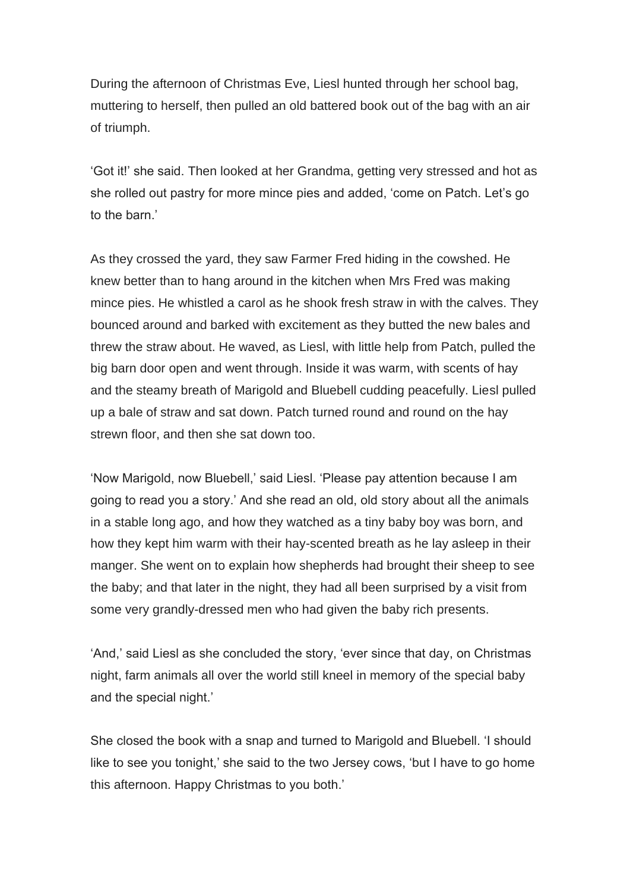During the afternoon of Christmas Eve, Liesl hunted through her school bag, muttering to herself, then pulled an old battered book out of the bag with an air of triumph.

'Got it!' she said. Then looked at her Grandma, getting very stressed and hot as she rolled out pastry for more mince pies and added, 'come on Patch. Let's go to the barn.'

As they crossed the yard, they saw Farmer Fred hiding in the cowshed. He knew better than to hang around in the kitchen when Mrs Fred was making mince pies. He whistled a carol as he shook fresh straw in with the calves. They bounced around and barked with excitement as they butted the new bales and threw the straw about. He waved, as Liesl, with little help from Patch, pulled the big barn door open and went through. Inside it was warm, with scents of hay and the steamy breath of Marigold and Bluebell cudding peacefully. Liesl pulled up a bale of straw and sat down. Patch turned round and round on the hay strewn floor, and then she sat down too.

'Now Marigold, now Bluebell,' said Liesl. 'Please pay attention because I am going to read you a story.' And she read an old, old story about all the animals in a stable long ago, and how they watched as a tiny baby boy was born, and how they kept him warm with their hay-scented breath as he lay asleep in their manger. She went on to explain how shepherds had brought their sheep to see the baby; and that later in the night, they had all been surprised by a visit from some very grandly-dressed men who had given the baby rich presents.

'And,' said Liesl as she concluded the story, 'ever since that day, on Christmas night, farm animals all over the world still kneel in memory of the special baby and the special night.'

She closed the book with a snap and turned to Marigold and Bluebell. 'I should like to see you tonight,' she said to the two Jersey cows, 'but I have to go home this afternoon. Happy Christmas to you both.'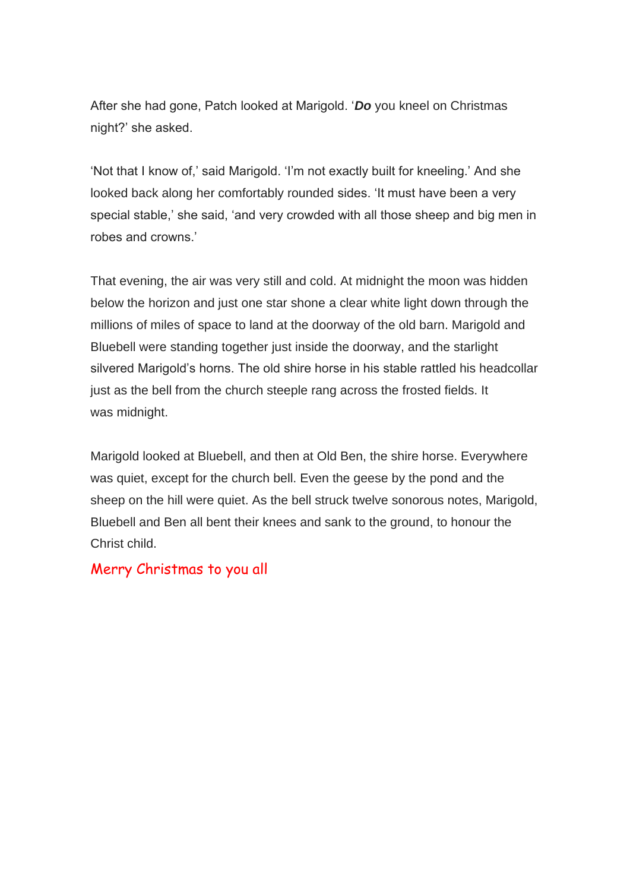After she had gone, Patch looked at Marigold. '*Do* you kneel on Christmas night?' she asked.

'Not that I know of,' said Marigold. 'I'm not exactly built for kneeling.' And she looked back along her comfortably rounded sides. 'It must have been a very special stable,' she said, 'and very crowded with all those sheep and big men in robes and crowns.'

That evening, the air was very still and cold. At midnight the moon was hidden below the horizon and just one star shone a clear white light down through the millions of miles of space to land at the doorway of the old barn. Marigold and Bluebell were standing together just inside the doorway, and the starlight silvered Marigold's horns. The old shire horse in his stable rattled his headcollar just as the bell from the church steeple rang across the frosted fields. It was midnight.

Marigold looked at Bluebell, and then at Old Ben, the shire horse. Everywhere was quiet, except for the church bell. Even the geese by the pond and the sheep on the hill were quiet. As the bell struck twelve sonorous notes, Marigold, Bluebell and Ben all bent their knees and sank to the ground, to honour the Christ child.

## Merry Christmas to you all